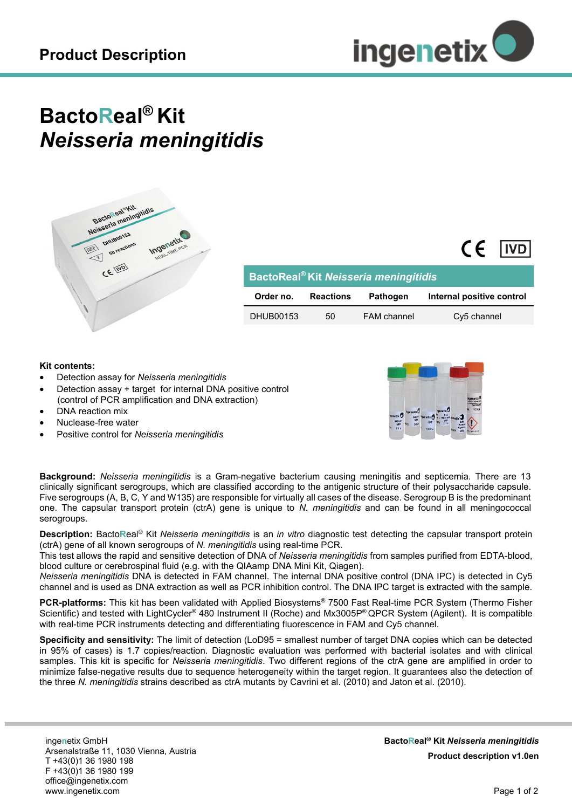

## **BactoReal® Kit** *Neisseria meningitidis*



| BactoReal <sup>®</sup> Kit Neisseria meningitidis |                  |                 |                           |
|---------------------------------------------------|------------------|-----------------|---------------------------|
| Order no.                                         | <b>Reactions</b> | <b>Pathogen</b> | Internal positive control |
| DHUB00153                                         | 50               | FAM channel     | Cy5 channel               |

## **Kit contents:**

- Detection assay for *Neisseria meningitidis*
- Detection assay + target for internal DNA positive control (control of PCR amplification and DNA extraction)
- DNA reaction mix
- Nuclease-free water
- Positive control for *Neisseria meningitidis*



 $CF$   $IVD$ 

**Background:** *Neisseria meningitidis* is a Gram-negative bacterium causing meningitis and septicemia. There are 13 clinically significant serogroups, which are classified according to the antigenic structure of their polysaccharide capsule. Five serogroups (A, B, C, Y and W135) are responsible for virtually all cases of the disease. Serogroup B is the predominant one. The capsular transport protein (ctrA) gene is unique to *N. meningitidis* and can be found in all meningococcal serogroups.

**Description:** Bacto**R**eal® Kit *Neisseria meningitidis* is an *in vitro* diagnostic test detecting the capsular transport protein (ctrA) gene of all known serogroups of *N. meningitidis* using real-time PCR.

This test allows the rapid and sensitive detection of DNA of *Neisseria meningitidis* from samples purified from EDTA-blood, blood culture or cerebrospinal fluid (e.g. with the QIAamp DNA Mini Kit, Qiagen).

*Neisseria meningitidis* DNA is detected in FAM channel. The internal DNA positive control (DNA IPC) is detected in Cy5 channel and is used as DNA extraction as well as PCR inhibition control. The DNA IPC target is extracted with the sample.

**PCR-platforms:** This kit has been validated with Applied Biosystems® 7500 Fast Real-time PCR System (Thermo Fisher Scientific) and tested with LightCycler® 480 Instrument II (Roche) and Mx3005P® QPCR System (Agilent). It is compatible with real-time PCR instruments detecting and differentiating fluorescence in FAM and Cy5 channel.

**Specificity and sensitivity:** The limit of detection (LoD95 = smallest number of target DNA copies which can be detected in 95% of cases) is 1.7 copies/reaction. Diagnostic evaluation was performed with bacterial isolates and with clinical samples. This kit is specific for *Neisseria meningitidis*. Two different regions of the ctrA gene are amplified in order to minimize false-negative results due to sequence heterogeneity within the target region. It guarantees also the detection of the three *N. meningitidis* strains described as ctrA mutants by Cavrini et al. (2010) and Jaton et al. (2010).

inge**n**etix GmbH Arsenalstraße 11, 1030 Vienna, Austria T +43(0)1 36 1980 198 F +43(0)1 36 1980 199 office@ingenetix.com www.ingenetix.com

**BactoReal® Kit** *Neisseria meningitidis* **Product description v1.0en**